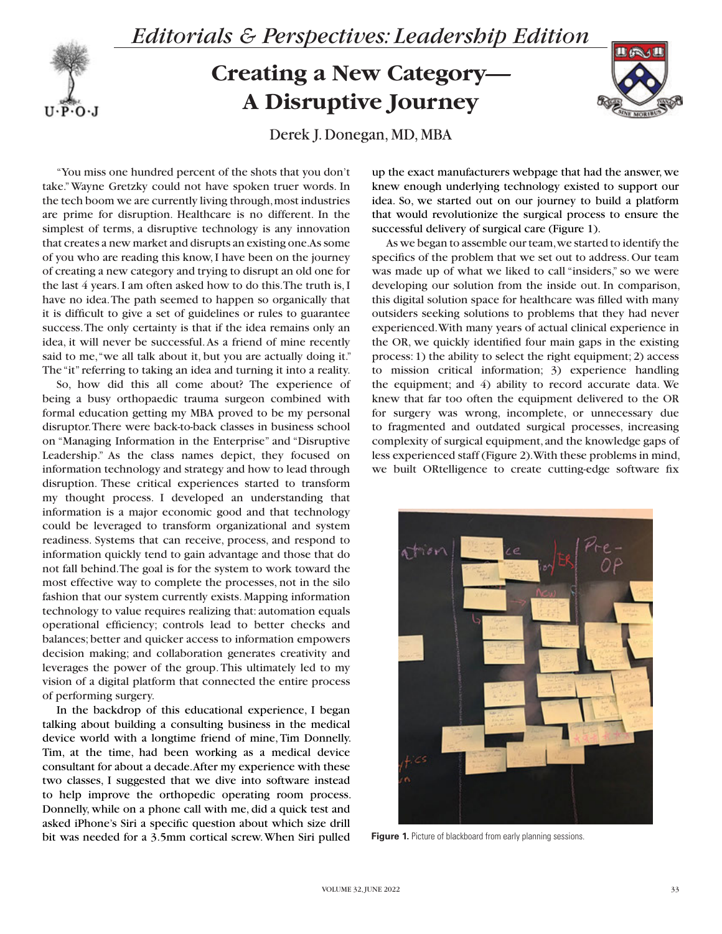## *Editorials & Perspectives: Leadership Edition*

## **Creating a New Category— A Disruptive Journey**



Derek J. Donegan, MD, MBA

"You miss one hundred percent of the shots that you don't take." Wayne Gretzky could not have spoken truer words. In the tech boom we are currently living through, most industries are prime for disruption. Healthcare is no different. In the simplest of terms, a disruptive technology is any innovation that creates a new market and disrupts an existing one. As some of you who are reading this know, I have been on the journey of creating a new category and trying to disrupt an old one for the last 4 years. I am often asked how to do this. The truth is, I have no idea. The path seemed to happen so organically that it is difficult to give a set of guidelines or rules to guarantee success. The only certainty is that if the idea remains only an idea, it will never be successful. As a friend of mine recently said to me, "we all talk about it, but you are actually doing it." The "it" referring to taking an idea and turning it into a reality.

 $U \cdot P \cdot O \cdot J$ 

So, how did this all come about? The experience of being a busy orthopaedic trauma surgeon combined with formal education getting my MBA proved to be my personal disruptor. There were back-to-back classes in business school on "Managing Information in the Enterprise" and "Disruptive Leadership." As the class names depict, they focused on information technology and strategy and how to lead through disruption. These critical experiences started to transform my thought process. I developed an understanding that information is a major economic good and that technology could be leveraged to transform organizational and system readiness. Systems that can receive, process, and respond to information quickly tend to gain advantage and those that do not fall behind. The goal is for the system to work toward the most effective way to complete the processes, not in the silo fashion that our system currently exists. Mapping information technology to value requires realizing that: automation equals operational efficiency; controls lead to better checks and balances; better and quicker access to information empowers decision making; and collaboration generates creativity and leverages the power of the group. This ultimately led to my vision of a digital platform that connected the entire process of performing surgery.

In the backdrop of this educational experience, I began talking about building a consulting business in the medical device world with a longtime friend of mine, Tim Donnelly. Tim, at the time, had been working as a medical device consultant for about a decade. After my experience with these two classes, I suggested that we dive into software instead to help improve the orthopedic operating room process. Donnelly, while on a phone call with me, did a quick test and asked iPhone's Siri a specific question about which size drill bit was needed for a 3.5mm cortical screw. When Siri pulled

up the exact manufacturers webpage that had the answer, we knew enough underlying technology existed to support our idea. So, we started out on our journey to build a platform that would revolutionize the surgical process to ensure the successful delivery of surgical care (Figure 1).

As we began to assemble our team, we started to identify the specifics of the problem that we set out to address. Our team was made up of what we liked to call "insiders," so we were developing our solution from the inside out. In comparison, this digital solution space for healthcare was filled with many outsiders seeking solutions to problems that they had never experienced. With many years of actual clinical experience in the OR, we quickly identified four main gaps in the existing process: 1) the ability to select the right equipment; 2) access to mission critical information; 3) experience handling the equipment; and 4) ability to record accurate data. We knew that far too often the equipment delivered to the OR for surgery was wrong, incomplete, or unnecessary due to fragmented and outdated surgical processes, increasing complexity of surgical equipment, and the knowledge gaps of less experienced staff (Figure 2). With these problems in mind, we built ORtelligence to create cutting-edge software fix



Figure 1. Picture of blackboard from early planning sessions.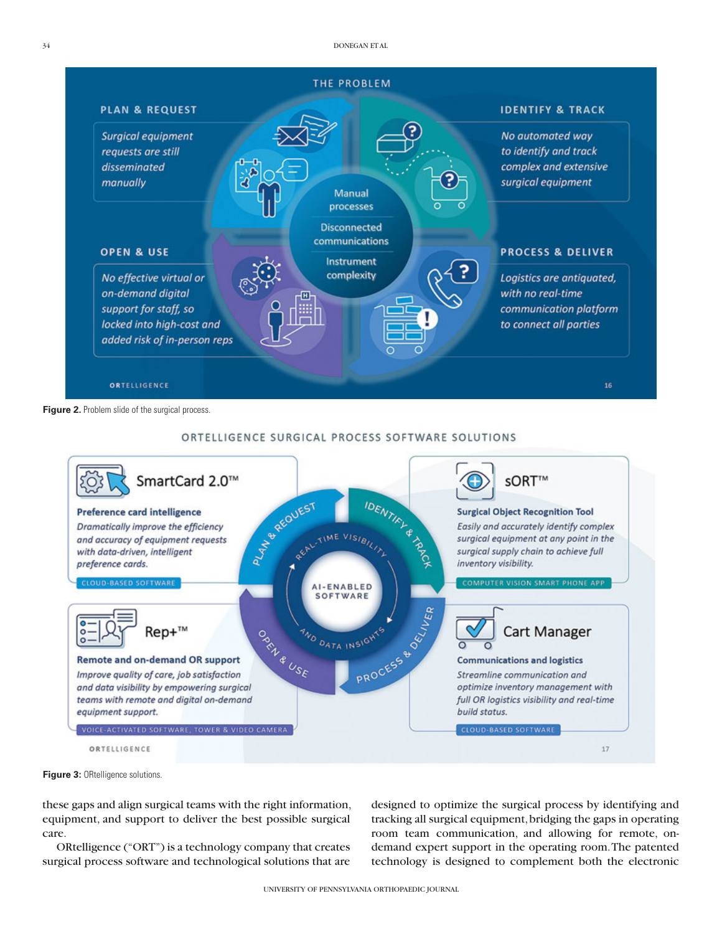

Figure 2. Problem slide of the surgical process.



## ORTELLIGENCE SURGICAL PROCESS SOFTWARE SOLUTIONS

**Figure 3: ORtelligence solutions.** 

these gaps and align surgical teams with the right information, equipment, and support to deliver the best possible surgical care.

ORtelligence ("ORT") is a technology company that creates surgical process software and technological solutions that are

designed to optimize the surgical process by identifying and tracking all surgical equipment, bridging the gaps in operating room team communication, and allowing for remote, ondemand expert support in the operating room. The patented technology is designed to complement both the electronic